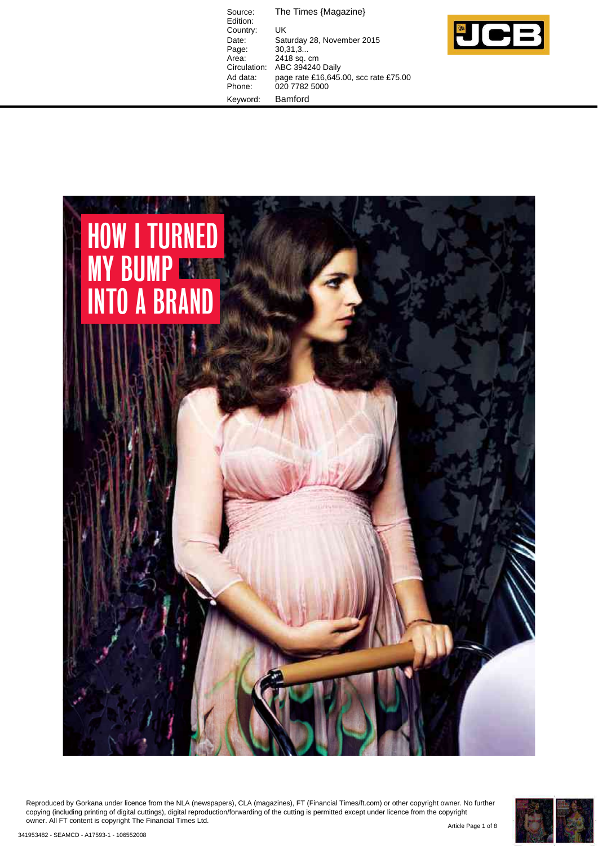The Times {Magazine} Source:<br>Edition: Country: UK<br>Date: Sati Date: Saturday 28, November 2015 Page: 30,31,3... Area: 2418 sq. cm Circulation: ABC 394240 Daily Ad data: page rate £16,645.00, scc rate £75.00 Phone: 020 7782 5000 Keyword: Bamford





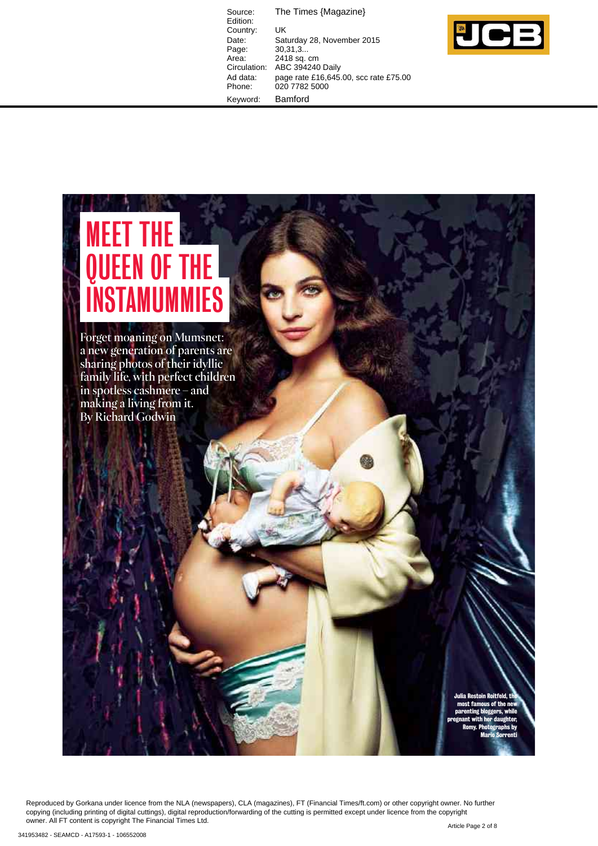Source: The Times {Magazine} Edition: Country: UK<br>Date: Sat Date: Saturday 28, November 2015<br>Page: 30,31,3... Page: 30,31,3...<br>Area: 2418 sq. ( Area: 2418 sq. cm<br>Circulation: ABC 394240 ABC 394240 Daily Ad data: page rate £16,645.00, scc rate £75.00 Phone: 020 7782 5000 Keyword: Bamford



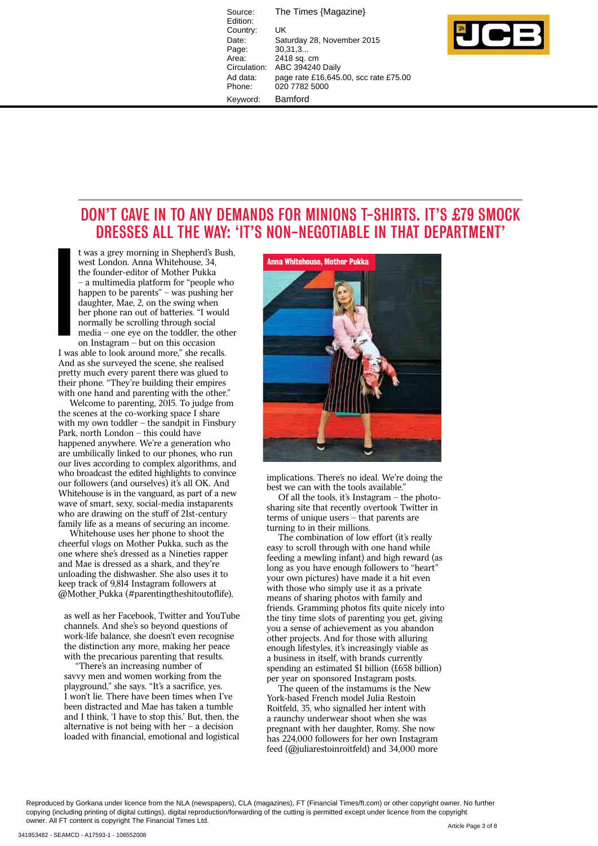Source: The Times {Magazine} Edition: Country: UK<br>Date: Sat Date: Saturday 28, November 2015<br>Page: 30.31.3... .<br>Page: 30,31,3...<br>Area: 2418 sq. ہ Area: 2418 sq. cm<br>Circulation: ABC 394240 ABC 394240 Daily Ad data: page rate £16,645.00, scc rate £75.00 Phone: 020 7782 5000 Keyword: Bamford



## **DON'T CAVE IN TO ANY DEMANDS FOR MINIONS T-SHIRTS. IT'S £79 SMOCK** DRESSES ALL THE WAY: 'IT'S NON-NEGOTIABLE IN THAT DEPARTMENT'

t was a grey morning in Shepherd's Bush, west London. Anna Whitehouse, 34. the founder-editor of Mother Pukka - a multimedia platform for "people who happen to be parents"  $-$  was pushing her daughter, Mae, 2, on the swing when her phone ran out of batteries. "I would normally be scrolling through social media - one eye on the toddler, the other

on Instagram  $-$  but on this occasion I was able to look around more." she recalls. And as she surveyed the scene, she realised pretty much every parent there was glued to their phone. "They're building their empires with one hand and parenting with the other." I wa<br>I wa<br>And

Welcome to parenting, 2015. To judge from the scenes at the co-working space I share with my own toddler - the sandpit in Finsbury Park, north London  $-$  this could have happened anywhere. We're a generation who are umbilically linked to our phones, who run our lives according to complex algorithms, and who broadcast the edited highlights to convince our followers (and ourselves) it's all OK. And Whitehouse is in the vanguard, as part of a new wave of smart, sexy, social-media instaparents who are drawing on the stuff of 21st-century family life as a means of securing an income.

Whitehouse uses her phone to shoot the cheerful vlogs on Mother Pukka, such as the one where she's dressed as a Nineties rapper and Mae is dressed as a shark, and they're unloading the dishwasher. She also uses it to keep track of 9,814 Instagram followers at @Mother\_Pukka (#parentingtheshitoutoflife),

as well as her Facebook, Twitter and YouTube channels. And she's so beyond questions of work-life balance, she doesn't even recognise the distinction any more, making her peace with the precarious parenting that results.

"There's an increasing number of savvy men and women working from the playground," she says. "It's a sacrifice, yes. I won't lie. There have been times when I've been distracted and Mae has taken a tumble and I think, 'I have to stop this.' But, then, the alternative is not being with her  $-$  a decision loaded with financial, emotional and logistical



implications. There's no ideal. We're doing the best we can with the tools available."

Of all the tools, it's Instagram  $-$  the photosharing site that recently overtook Twitter in  $terms of unique users - that parents are$ turning to in their millions.

The combination of low effort (it's really easy to scroll through with one hand while feeding a mewling infant) and high reward (as long as you have enough followers to "heart" your own pictures) have made it a hit even with those who simply use it as a private means of sharing photos with family and friends. Gramming photos fits quite nicely into the tiny time slots of parenting you get, giving you a sense of achievement as you abandon other projects. And for those with alluring enough lifestyles, it's increasingly viable as a business in itself, with brands currently spending an estimated \$1 billion (£658 billion) per year on sponsored Instagram posts.

The queen of the instamums is the New York-based French model Julia Restoin Roitfeld, 35, who signalled her intent with a raunchy underwear shoot when she was pregnant with her daughter, Romy. She now has 224,000 followers for her own Instagram feed (@juliarestoinroitfeld) and 34,000 more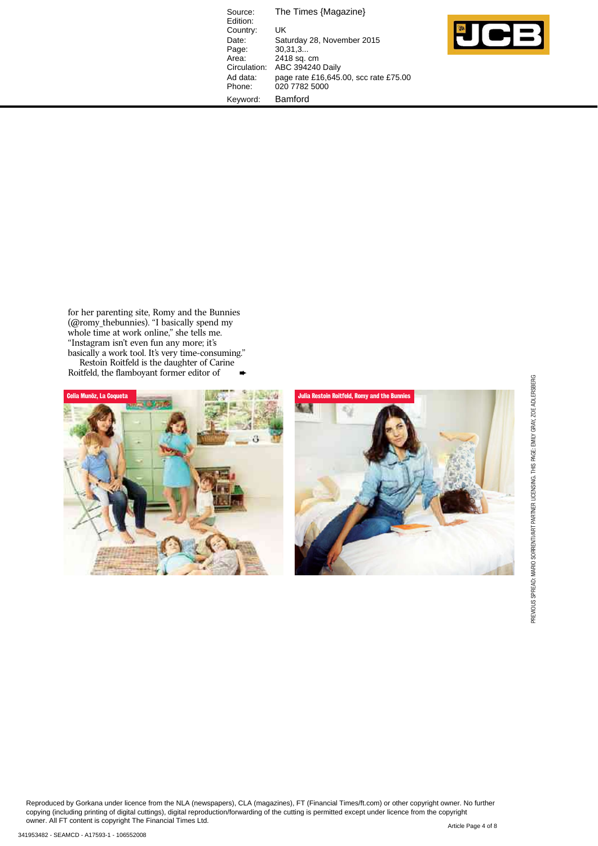Source: The Times {Magazine} Edition: Country: UK<br>Date: Sat Date: Saturday 28, November 2015<br>Page: 30,31,3... Page: 30,31,3...<br>Area: 2418 sq. o Area: 2418 sq. cm Circulation: ABC 394240 Daily Ad data: page rate £16,645.00, scc rate £75.00 Phone: 020 7782 5000 Keyword: Bamford



for her parenting site, Romy and the Bunnies (@romy\_thebunnies). "I basically spend my whole time at work online," she tells me. "Instagram isn't even fun any more; it's basically a work tool. It's very time-consuming." Restoin Roitfeld is the daughter of Carine Roitfeld, the flamboyant former editor of



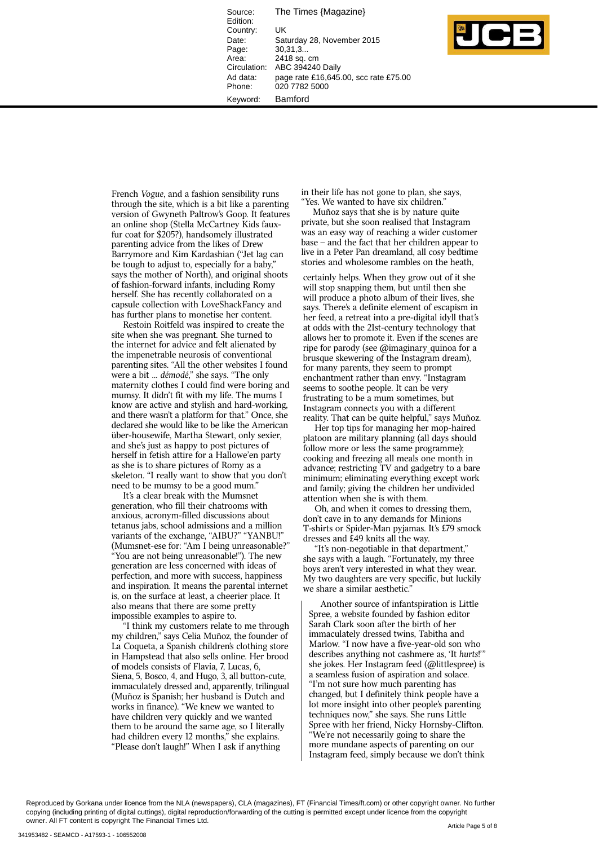Source: The Times {Magazine} Edition: Country: UK Date: Saturday 28, November 2015<br>Page: 30.31.3... Page: 30,31,3...<br>Area: 2418 sq. Area: 2418 sq. cm<br>Circulation: ABC 394240 ABC 394240 Daily Ad data: page rate £16,645.00, scc rate £75.00 Phone: 020 7782 5000 Keyword: Bamford



French Vogue, and a fashion sensibility runs through the site, which is a bit like a parenting version of Gwyneth Paltrow's Goop. It features an online shop (Stella McCartney Kids fauxfur coat for  $\frac{$205?}{h}$ , handsomely illustrated parenting advice from the likes of Drew Barrymore and Kim Kardashian ("Jet lag can be tough to adjust to, especially for a baby," says the mother of North), and original shoots of fashion-forward infants, including Romy herself. She has recently collaborated on a capsule collection with LoveShackFancy and has further plans to monetise her content.

Restoin Roitfeld was inspired to create the site when she was pregnant. She turned to the internet for advice and felt alienated by the impenetrable neurosis of conventional parenting sites. "All the other websites I found were a bit ... démodé," she says. "The only maternity clothes I could find were boring and mumsy. It didn't fit with my life. The mums I know are active and stylish and hard-working, and there wasn't a platform for that." Once, she declared she would like to be like the American über-housewife, Martha Stewart, only sexier, and she's just as happy to post pictures of herself in fetish attire for a Hallowe'en party as she is to share pictures of Romy as a skeleton. "I really want to show that you don't need to be mumsy to be a good mum."

It's a clear break with the Mumsnet generation, who fill their chatrooms with anxious, acronym-filled discussions about tetanus jabs, school admissions and a million variants of the exchange, "AIBU?" "YANBU!" (Mumsnet-ese for: "Am I being unreasonable?" "You are not being unreasonable!"). The new generation are less concerned with ideas of perfection, and more with success, happiness and inspiration. It means the parental internet is, on the surface at least, a cheerier place. It also means that there are some pretty impossible examples to aspire to.

If think my customers relate to me through my children," says Celia Muñoz, the founder of La Coqueta, a Spanish children's clothing store in Hampstead that also sells online. Her brood of models consists of Flavia, 7, Lucas, 6, Siena, 5, Bosco, 4, and Hugo, 3, all button-cute, immaculately dressed and, apparently, trilingual (Muñoz is Spanish; her husband is Dutch and works in finance). "We knew we wanted to have children very quickly and we wanted them to be around the same age, so I literally had children every 12 months," she explains. "Please don't laugh!" When I ask if anything

in their life has not gone to plan, she says, 'Yes. We wanted to have six children.'

Muñoz says that she is by nature quite private, but she soon realised that Instagram was an easy way of reaching a wider customer  $base - and the fact that her children appear to$ live in a Peter Pan dreamland, all cosy bedtime stories and wholesome rambles on the heath.

certainly helps. When they grow out of it she will stop snapping them, but until then she will produce a photo album of their lives, she says. There's a definite element of escapism in her feed, a retreat into a pre-digital idyll that's at odds with the 21st-century technology that allows her to promote it. Even if the scenes are ripe for parody (see @imaginary\_quinoa for a brusque skewering of the Instagram dream), for many parents, they seem to prompt enchantment rather than envy. "Instagram seems to soothe people. It can be very frustrating to be a mum sometimes, but Instagram connects you with a different reality. That can be quite helpful," says Muñoz.

Her top tips for managing her mop-haired platoon are military planning (all days should follow more or less the same programme); cooking and freezing all meals one month in advance; restricting TV and gadgetry to a bare minimum; eliminating everything except work and family; giving the children her undivided attention when she is with them.

Oh, and when it comes to dressing them, don't cave in to any demands for Minions T-shirts or Spider-Man pyjamas. It's £79 smock dresses and £49 knits all the way.

"It's non-negotiable in that department," she says with a laugh. "Fortunately, my three boys aren't very interested in what they wear. My two daughters are very specific, but luckily we share a similar aesthetic.'

Another source of infantspiration is Little Spree, a website founded by fashion editor Sarah Clark soon after the birth of her immaculately dressed twins, Tabitha and Marlow. "I now have a five-year-old son who describes anything not cashmere as, 'It hurts!'" she jokes. Her Instagram feed (@littlespree) is a seamless fusion of aspiration and solace. "I'm not sure how much parenting has changed, but I definitely think people have a lot more insight into other people's parenting techniques now," she says. She runs Little Spree with her friend, Nicky Hornsby-Clifton. "We're not necessarily going to share the more mundane aspects of parenting on our Instagram feed, simply because we don't think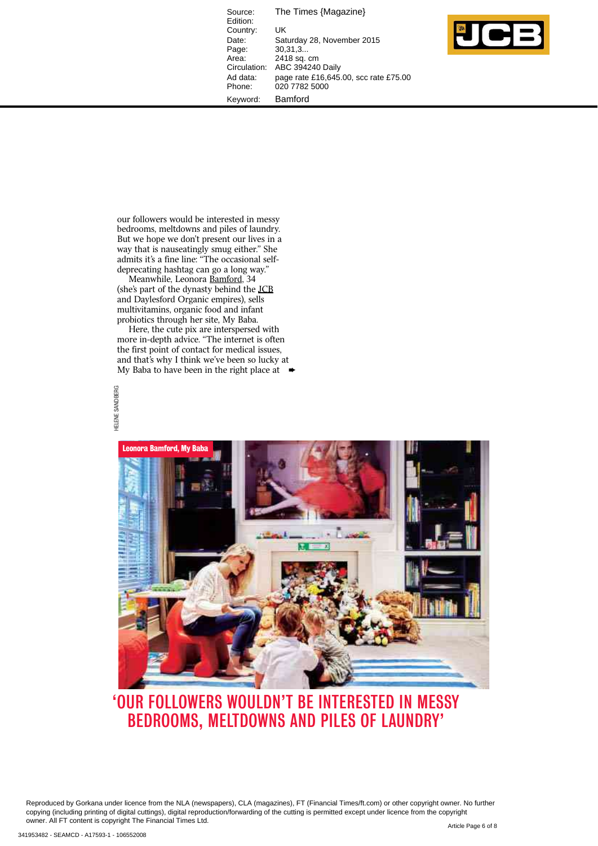Source: The Times {Magazine} Edition: Country: UK<br>Date: Sat Date: Saturday 28, November 2015<br>Page: 30,31,3... рако.<br>Page: 30,31,3...<br>Area: 2418 sq. о Area: 2418 sq. cm<br>Circulation: ABC 394240 ABC 394240 Daily Ad data: page rate £16,645.00, scc rate £75.00 Phone: 020 7782 5000 Keyword: Bamford



our followers would be interested in messy bedrooms, meltdowns and piles of laundry. But we hope we don't present our lives in a way that is nauseatingly smug either." She admits it's a fine line: "The occasional selfdeprecating hashtag can go a long way."

Meanwhile, Leonora <u>Bamford</u>, 34 (she's part of the dynasty behind the <u>JCB</u> and Daylesford Organic empires), sells multivitamins, organic food and infant probiotics through her site, My Baba.

Here, the cute pix are interspersed with more in-depth advice. "The internet is often the first point of contact for medical issues, and that's why I think we've been so lucky at My Baba to have been in the right place at





## 'OUR FOLLOWERS WOULDN'T BE INTERESTED IN MESSY BEDROOMS, MELTDOWNS AND PILES OF LAUNDRY'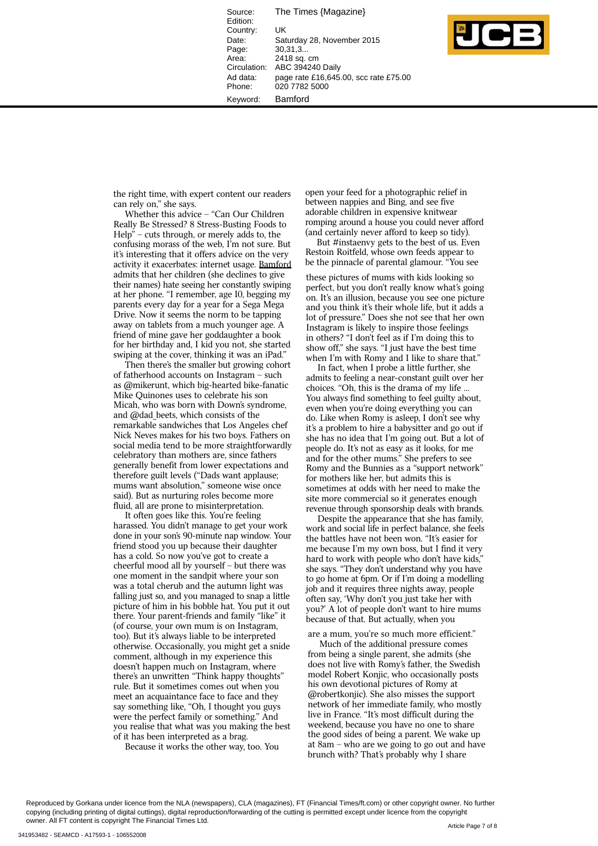The Times {Magazine} Source: Edition: Country: UK Saturday 28. November 2015 Date:  $30.31.3$ Page: Area: 2418 sq. cm Circulation: ABC 394240 Daily Ad data: page rate £16,645.00, scc rate £75.00 Phone: 020 7782 5000 Bamford Keyword:



the right time, with expert content our readers can rely on," she says.

Whether this advice - "Can Our Children Really Be Stressed? 8 Stress-Busting Foods to  $Help"$  – cuts through, or merely adds to, the confusing morass of the web, I'm not sure. But it's interesting that it offers advice on the very activity it exacerbates: internet usage. Bamford admits that her children (she declines to give their names) hate seeing her constantly swiping at her phone. "I remember, age 10, begging my parents every day for a year for a Sega Mega Drive. Now it seems the norm to be tapping away on tablets from a much younger age. A friend of mine gave her goddaughter a book for her birthday and, I kid you not, she started swiping at the cover, thinking it was an iPad.

Then there's the smaller but growing cohort of fatherhood accounts on Instagram - such as @mikerunt, which big-hearted bike-fanatic Mike Ouinones uses to celebrate his son Micah, who was born with Down's syndrome, and @dad beets, which consists of the remarkable sandwiches that Los Angeles chef Nick Neves makes for his two boys. Fathers on social media tend to be more straightforwardly celebratory than mothers are, since fathers generally benefit from lower expectations and therefore guilt levels ("Dads want applause; mums want absolution," someone wise once said). But as nurturing roles become more fluid, all are prone to misinterpretation.

It often goes like this. You're feeling harassed. You didn't manage to get your work done in your son's 90-minute nap window. Your friend stood you up because their daughter has a cold. So now you've got to create a cheerful mood all by yourself - but there was one moment in the sandpit where your son was a total cherub and the autumn light was falling just so, and you managed to snap a little picture of him in his bobble hat. You put it out there. Your parent-friends and family "like" it (of course, your own mum is on Instagram, too). But it's always liable to be interpreted otherwise. Occasionally, you might get a snide comment, although in my experience this doesn't happen much on Instagram, where there's an unwritten "Think happy thoughts" rule. But it sometimes comes out when you meet an acquaintance face to face and they say something like, "Oh, I thought you guys were the perfect family or something." And you realise that what was you making the best of it has been interpreted as a brag.

Because it works the other way, too. You

open your feed for a photographic relief in between nappies and Bing, and see five adorable children in expensive knitwear romping around a house you could never afford (and certainly never afford to keep so tidy).

But #instaenvy gets to the best of us. Even Restoin Roitfeld, whose own feeds appear to be the pinnacle of parental glamour. "You see

these pictures of mums with kids looking so perfect, but you don't really know what's going on. It's an illusion, because you see one picture and you think it's their whole life, but it adds a lot of pressure." Does she not see that her own Instagram is likely to inspire those feelings in others? "I don't feel as if I'm doing this to show off," she says. "I just have the best time when I'm with Romy and I like to share that."

In fact, when I probe a little further, she admits to feeling a near-constant guilt over her choices. "Oh, this is the drama of my life ... You always find something to feel guilty about, even when you're doing everything you can do. Like when Romy is asleep, I don't see why it's a problem to hire a babysitter and go out if she has no idea that I'm going out. But a lot of people do. It's not as easy as it looks, for me and for the other mums." She prefers to see Romy and the Bunnies as a "support network" for mothers like her, but admits this is sometimes at odds with her need to make the site more commercial so it generates enough revenue through sponsorship deals with brands.

Despite the appearance that she has family, work and social life in perfect balance, she feels the battles have not been won. "It's easier for me because I'm my own boss, but I find it very hard to work with people who don't have kids," she says. "They don't understand why you have to go home at 6pm. Or if I'm doing a modelling job and it requires three nights away, people often say, 'Why don't you just take her with you?' A lot of people don't want to hire mums because of that. But actually, when you

are a mum, you're so much more efficient."

Much of the additional pressure comes from being a single parent, she admits (she does not live with Romy's father, the Swedish model Robert Konjic, who occasionally posts his own devotional pictures of Romy at @robertkonjic). She also misses the support network of her immediate family, who mostly live in France. "It's most difficult during the weekend, because you have no one to share the good sides of being a parent. We wake up at  $8am$  – who are we going to go out and have brunch with? That's probably why I share